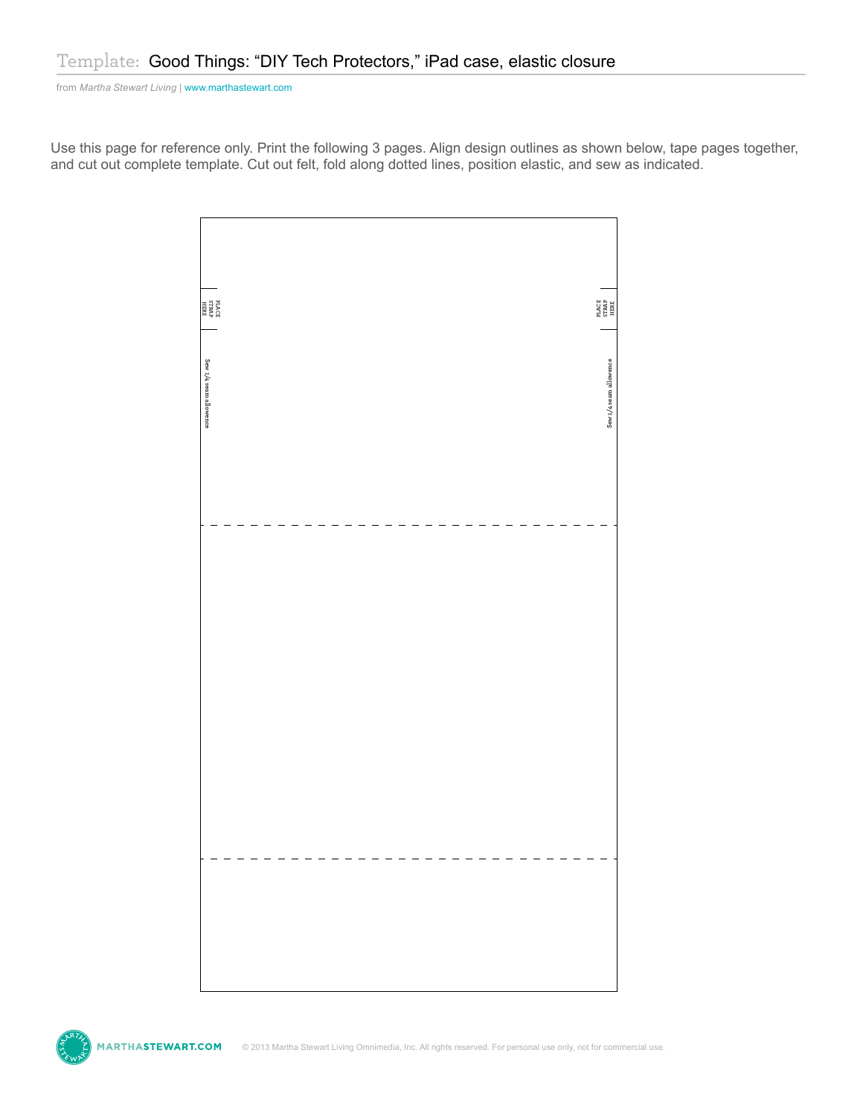from *Martha Stewart Living* [| www.marthastewart.com](http://www.marthastewartweddings.com)

Use this page for reference only. Print the following 3 pages. Align design outlines as shown below, tape pages together, and cut out complete template. Cut out felt, fold along dotted lines, position elastic, and sew as indicated.



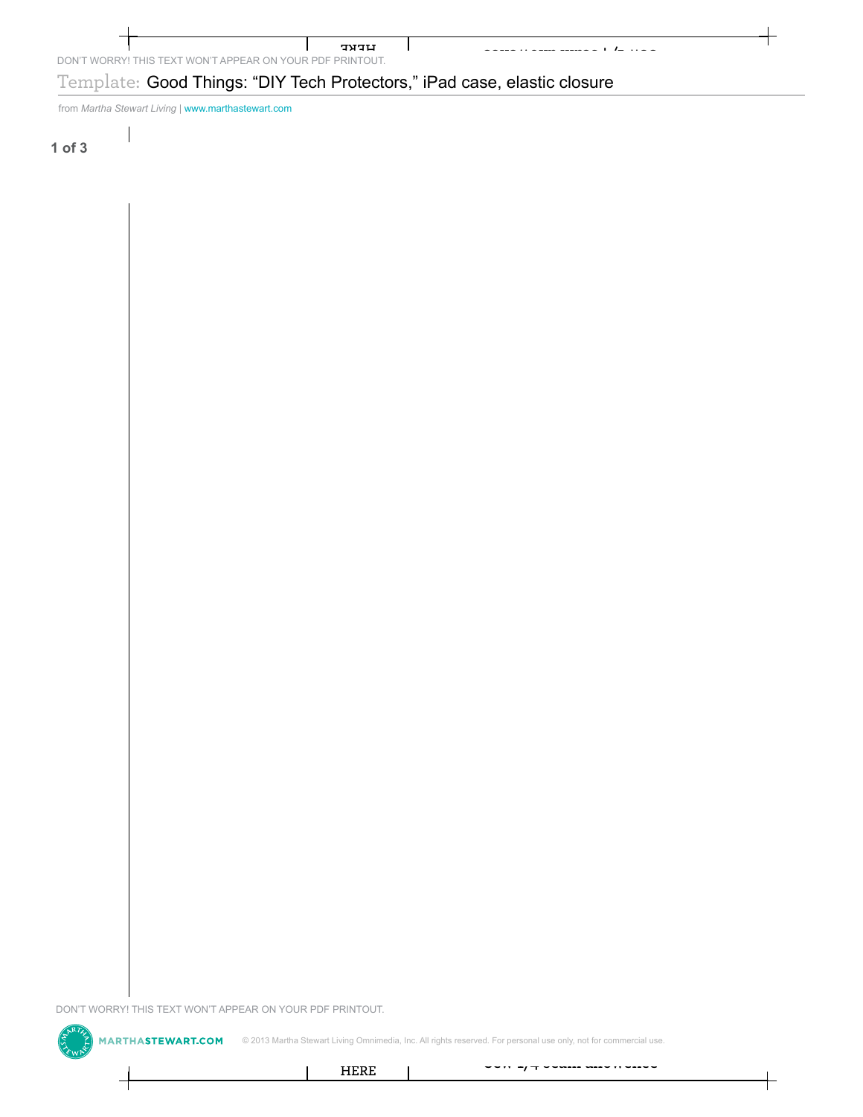DON'T WORRY! THIS TEXT WON'T APPEAR ON YOUR PDF PRINTOUT. HERE

## Template: Good Things: "DIY Tech Protectors," iPad case, elastic closure DON'T WORRY! THIS TEXT WON'T APPEAR ON YOUR PDF PRINTOUT.<br>Template: Good Things: "DIY Tech Protect<br>from Martha Stewart Living | www.marthasbevart.com<br>of 3 Template: Good Things: "DIY Tech Protectors," iPad case, elastic closure<br>
of 3<br>
of  $\frac{1}{2}$ <br>  $\frac{1}{2}$ <br>  $\frac{1}{2}$ <br>  $\frac{1}{2}$ <br>  $\frac{1}{2}$ <br>  $\frac{1}{2}$ <br>  $\frac{1}{2}$ <br>  $\frac{1}{2}$ <br>  $\frac{1}{2}$ <br>  $\frac{1}{2}$ <br>  $\frac{1}{2}$ <br>  $\frac{1}{2}$ <br>  $\frac{1}{$

 $\mathbf{I}$ 

from *Martha Stewart Living* | www.marthastewart.com

**1 of 3**

DON'T WORRY! THIS TEXT WON'T APPEAR ON YOUR PDF PRINTOUT.<br>  $\begin{pmatrix} 5 & 7 \\ 5 & 7 \end{pmatrix}$  **MARTHASTEWART.COM** © 2013 Martha Stewart Living Omnime



C 2013 Martha Stewart Living Omnimedia, Inc. All rights reserved. For personal use only, not for commercial use.<br>
HERE<br>
Property of the commercial use.

Sew 1/4 seam allowence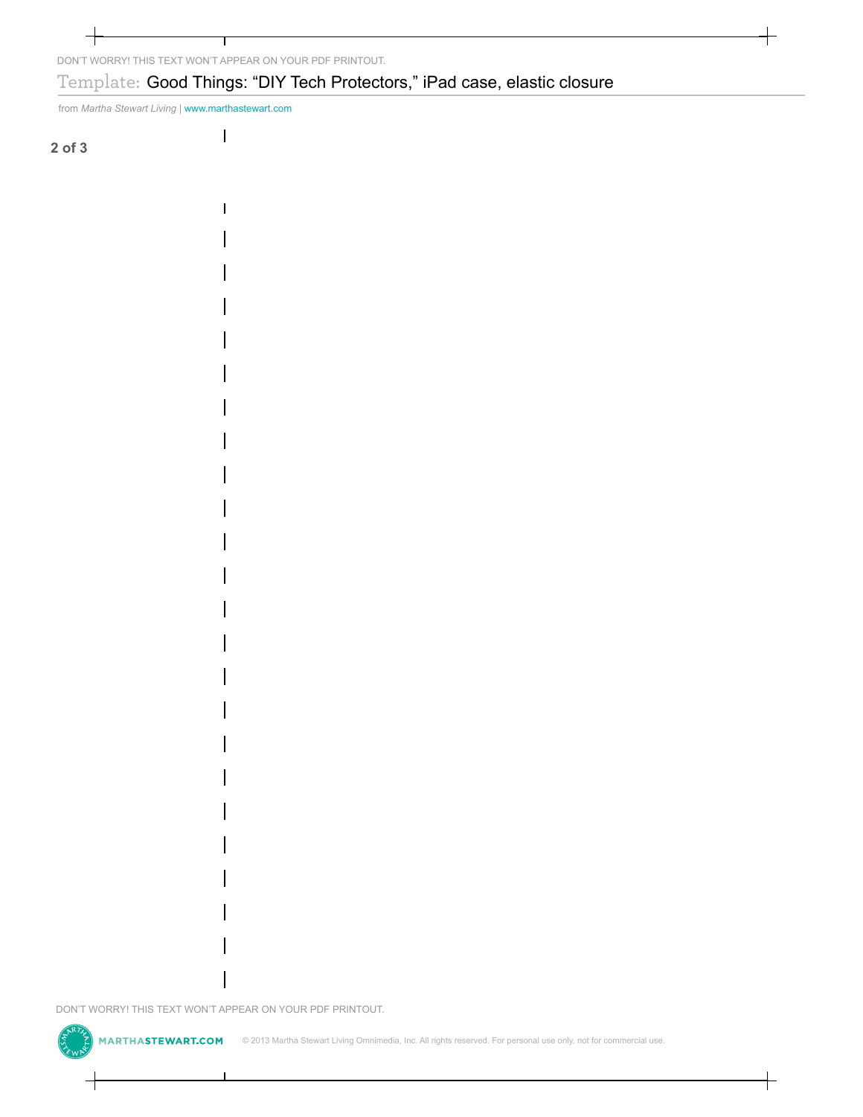## DONT WORRY! THIS TEXT WONT APPEAR ON YOUR PDF PRINTOUT.<br>
Template: Good Things: "DIY Tech Protect<br>
from *Martha Stewart Living* | www.marteastwart.com<br>
1<br>
1<br>
1<br>
1<br>
1<br>
<br>
DON'T WORRY! THIS TEXT WONT APPEAR ON YOUR PDF PRINTO Template: Good Things: "DIY Tech Protectors," iPad case, elastic closure<br>
or the takes is vertice; you would concern<br>
or of s<br>  $\begin{array}{c|c|c|c|c|c} \hline \rule{0pt}{2.2ex} \rule{0pt}{2.2ex} \rule{0pt}{2.2ex} \rule{0pt}{2.2ex} \rule{0pt}{2.2ex} \rule{0pt}{2.2ex} \rule{0pt}{2$

from *Martha Stewart Living* | www.marthastewart.com

**2 of 3**

DON'T WORRY! THIS TEXT WON'T APPEAR ON YOUR PDF PRINTOUT.<br>  $\begin{pmatrix} 5 & 7 \\ 5 & 7 \end{pmatrix}$  **MARTHASTEWART.COM** © 2013 Martha Stewart Living Omnime

© 2013 Martha Stewart Living Omnimedia, Inc. All rights reserved. For personal use only, not for commercial use.